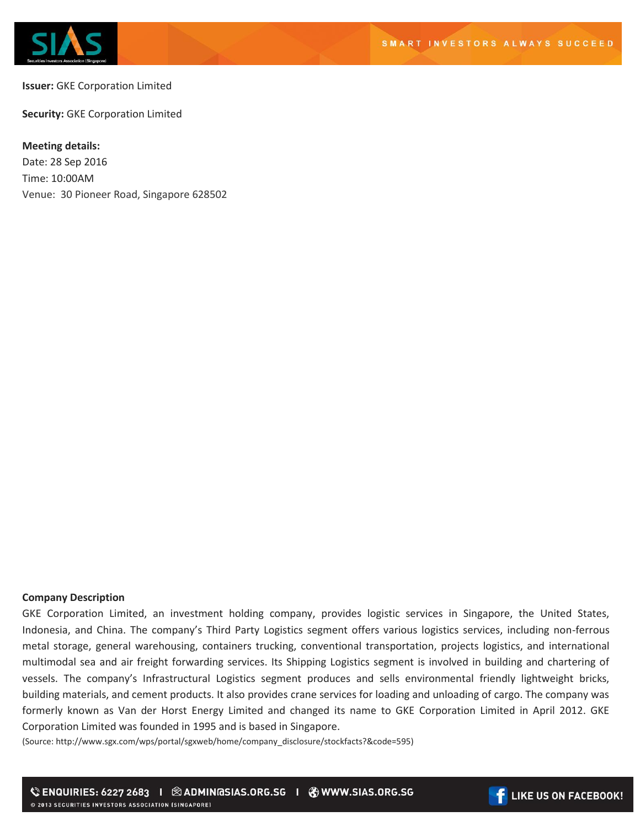

**Issuer:** GKE Corporation Limited

**Security:** GKE Corporation Limited

## **Meeting details:**

Date: 28 Sep 2016 Time: 10:00AM Venue: 30 Pioneer Road, Singapore 628502

## **Company Description**

GKE Corporation Limited, an investment holding company, provides logistic services in Singapore, the United States, Indonesia, and China. The company's Third Party Logistics segment offers various logistics services, including non-ferrous metal storage, general warehousing, containers trucking, conventional transportation, projects logistics, and international multimodal sea and air freight forwarding services. Its Shipping Logistics segment is involved in building and chartering of vessels. The company's Infrastructural Logistics segment produces and sells environmental friendly lightweight bricks, building materials, and cement products. It also provides crane services for loading and unloading of cargo. The company was formerly known as Van der Horst Energy Limited and changed its name to GKE Corporation Limited in April 2012. GKE Corporation Limited was founded in 1995 and is based in Singapore.

(Source: http://www.sgx.com/wps/portal/sgxweb/home/company\_disclosure/stockfacts?&code=595)